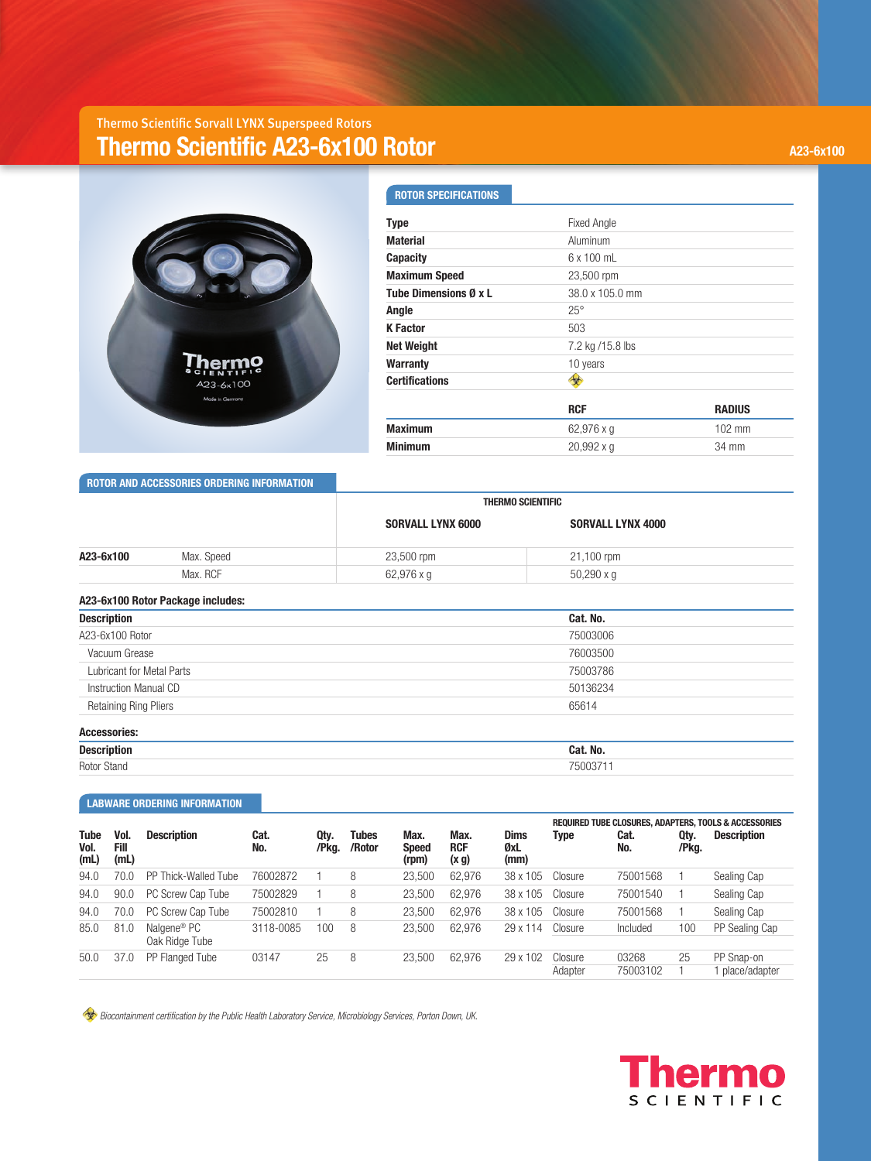## Thermo Scientific Sorvall LYNX Superspeed Rotors **Thermo Scientific A23-6x100 Rotor A23-6x100 Rotor A23-6x100** A23-6x100



| <b>ROTOR SPECIFICATIONS</b> |                    |                  |
|-----------------------------|--------------------|------------------|
| <b>Type</b>                 | <b>Fixed Angle</b> |                  |
| <b>Material</b>             | Aluminum           |                  |
| <b>Capacity</b>             | $6 \times 100$ mL  |                  |
| <b>Maximum Speed</b>        | 23,500 rpm         |                  |
| Tube Dimensions Ø x L       | 38.0 x 105.0 mm    |                  |
| Angle                       | $25^\circ$         |                  |
| <b>K</b> Factor             | 503                |                  |
| <b>Net Weight</b>           | 7.2 kg /15.8 lbs   |                  |
| <b>Warranty</b>             | 10 years           |                  |
| <b>Certifications</b>       |                    |                  |
|                             | <b>RCF</b>         | <b>RADIUS</b>    |
| <b>Maximum</b>              | 62,976 x q         | $102 \text{ mm}$ |
| <b>Minimum</b>              | 20,992xq           | 34 mm            |
|                             |                    |                  |

 **ROTOR AND ACCESSORIES ORDERING INFORMATION**

|                                   |            |                          | <b>THERMO SCIENTIFIC</b> |  |  |  |  |  |
|-----------------------------------|------------|--------------------------|--------------------------|--|--|--|--|--|
|                                   |            | <b>SORVALL LYNX 6000</b> | <b>SORVALL LYNX 4000</b> |  |  |  |  |  |
| A23-6x100                         | Max. Speed | 23,500 rpm               | 21,100 rpm               |  |  |  |  |  |
|                                   | Max. RCF   | 62,976 x g               | $50,290 \times g$        |  |  |  |  |  |
| A23-6x100 Rotor Package includes: |            |                          |                          |  |  |  |  |  |
| <b>Description</b>                |            |                          | Cat. No.                 |  |  |  |  |  |
| A23-6x100 Rotor                   |            |                          | 75003006                 |  |  |  |  |  |
| Vacuum Grease                     |            |                          | 76003500                 |  |  |  |  |  |
| <b>Lubricant for Metal Parts</b>  |            |                          | 75003786                 |  |  |  |  |  |
| Instruction Manual CD             |            |                          | 50136234                 |  |  |  |  |  |
| <b>Retaining Ring Pliers</b>      |            |                          | 65614                    |  |  |  |  |  |
| <b>Accessories:</b>               |            |                          |                          |  |  |  |  |  |
| <b>Description</b>                |            |                          | Cat. No.                 |  |  |  |  |  |
| Rotor Stand                       |            |                          | 75003711                 |  |  |  |  |  |

## **LABWARE ORDERING INFORMATION**

| <b>Tube</b><br>Vol.<br>(mL) | Vol.<br>Fill<br>(mL) | <b>Description</b>                        | Cat.<br>No.      | Qty.<br>/Pkg. | Tubes<br>/Rotor | Max.<br><b>Speed</b><br>(rpm) | Max.<br><b>RCF</b><br>(x g) | <b>Dims</b><br>ØxL<br>(mm) | Type    | Cat.<br>No. | Qty.<br>/Pkg. | REQUIRED TUBE CLOSURES, ADAPTERS, TOOLS & ACCESSORIES<br><b>Description</b> |
|-----------------------------|----------------------|-------------------------------------------|------------------|---------------|-----------------|-------------------------------|-----------------------------|----------------------------|---------|-------------|---------------|-----------------------------------------------------------------------------|
| 94.0                        | 70.0                 | PP Thick-Walled Tube                      | 76002872         |               | 8               | 23.500                        | 62.976                      | 38 x 105                   | Closure | 75001568    |               | Sealing Cap                                                                 |
| 94.0                        | 90.0                 | PC Screw Cap Tube                         | 75002829         |               | 8               | 23.500                        | 62.976                      | 38 x 105                   | Closure | 75001540    |               | Sealing Cap                                                                 |
| 94.0                        | 70.0                 | PC Screw Cap Tube                         | 75002810         |               | 8               | 23.500                        | 62.976                      | 38 x 105                   | Closure | 75001568    |               | Sealing Cap                                                                 |
| 85.0<br>81.0                |                      | Nalgene <sup>®</sup> PC<br>Oak Ridge Tube | 100<br>3118-0085 |               | 8               | 23.500                        | 62.976                      | 29 x 114                   | Closure | Included    | 100           | PP Sealing Cap                                                              |
|                             |                      |                                           |                  |               |                 |                               |                             |                            |         |             |               |                                                                             |
| 50.0                        | 37.0                 | PP Flanged Tube                           | 03147            | 25            | 8               | 23.500                        | 62.976                      | 29 x 102                   | Closure | 03268       | 25            | PP Snap-on                                                                  |
|                             |                      |                                           |                  |               |                 |                               |                             |                            | Adapter | 75003102    |               | place/adapter                                                               |

 *Biocontainment certification by the Public Health Laboratory Service, Microbiology Services, Porton Down, UK.*